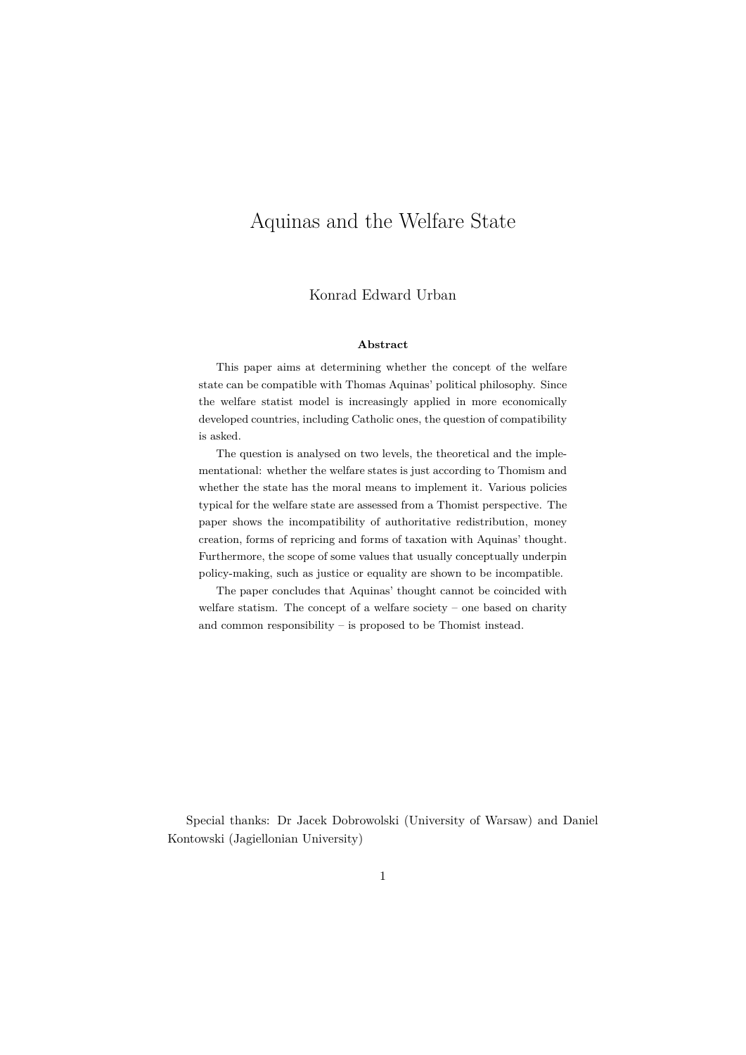## Aquinas and the Welfare State

#### Konrad Edward Urban

#### **Abstract**

This paper aims at determining whether the concept of the welfare state can be compatible with Thomas Aquinas' political philosophy. Since the welfare statist model is increasingly applied in more economically developed countries, including Catholic ones, the question of compatibility is asked.

The question is analysed on two levels, the theoretical and the implementational: whether the welfare states is just according to Thomism and whether the state has the moral means to implement it. Various policies typical for the welfare state are assessed from a Thomist perspective. The paper shows the incompatibility of authoritative redistribution, money creation, forms of repricing and forms of taxation with Aquinas' thought. Furthermore, the scope of some values that usually conceptually underpin policy-making, such as justice or equality are shown to be incompatible.

The paper concludes that Aquinas' thought cannot be coincided with welfare statism. The concept of a welfare society – one based on charity and common responsibility – is proposed to be Thomist instead.

Special thanks: Dr Jacek Dobrowolski (University of Warsaw) and Daniel Kontowski (Jagiellonian University)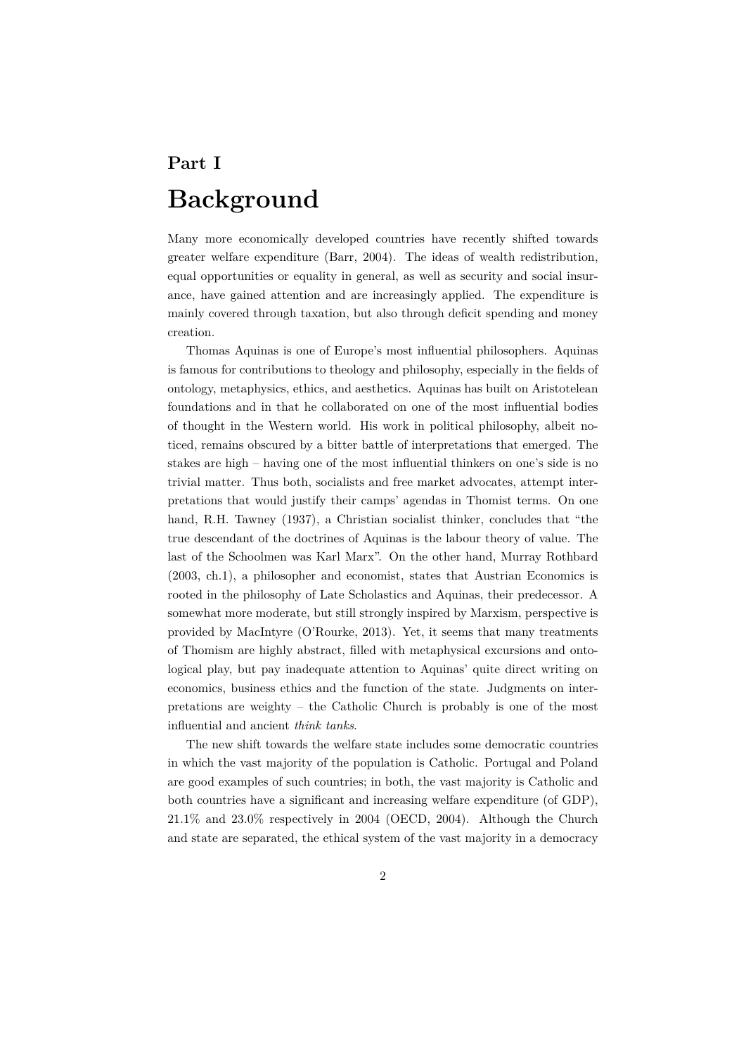# **Part I Background**

Many more economically developed countries have recently shifted towards greater welfare expenditure (Barr, 2004). The ideas of wealth redistribution, equal opportunities or equality in general, as well as security and social insurance, have gained attention and are increasingly applied. The expenditure is mainly covered through taxation, but also through deficit spending and money creation.

Thomas Aquinas is one of Europe's most influential philosophers. Aquinas is famous for contributions to theology and philosophy, especially in the fields of ontology, metaphysics, ethics, and aesthetics. Aquinas has built on Aristotelean foundations and in that he collaborated on one of the most influential bodies of thought in the Western world. His work in political philosophy, albeit noticed, remains obscured by a bitter battle of interpretations that emerged. The stakes are high – having one of the most influential thinkers on one's side is no trivial matter. Thus both, socialists and free market advocates, attempt interpretations that would justify their camps' agendas in Thomist terms. On one hand, R.H. Tawney (1937), a Christian socialist thinker, concludes that "the true descendant of the doctrines of Aquinas is the labour theory of value. The last of the Schoolmen was Karl Marx". On the other hand, Murray Rothbard (2003, ch.1), a philosopher and economist, states that Austrian Economics is rooted in the philosophy of Late Scholastics and Aquinas, their predecessor. A somewhat more moderate, but still strongly inspired by Marxism, perspective is provided by MacIntyre (O'Rourke, 2013). Yet, it seems that many treatments of Thomism are highly abstract, filled with metaphysical excursions and ontological play, but pay inadequate attention to Aquinas' quite direct writing on economics, business ethics and the function of the state. Judgments on interpretations are weighty – the Catholic Church is probably is one of the most influential and ancient *think tanks*.

The new shift towards the welfare state includes some democratic countries in which the vast majority of the population is Catholic. Portugal and Poland are good examples of such countries; in both, the vast majority is Catholic and both countries have a significant and increasing welfare expenditure (of GDP),  $21.1\%$  and  $23.0\%$  respectively in 2004 (OECD, 2004). Although the Church and state are separated, the ethical system of the vast majority in a democracy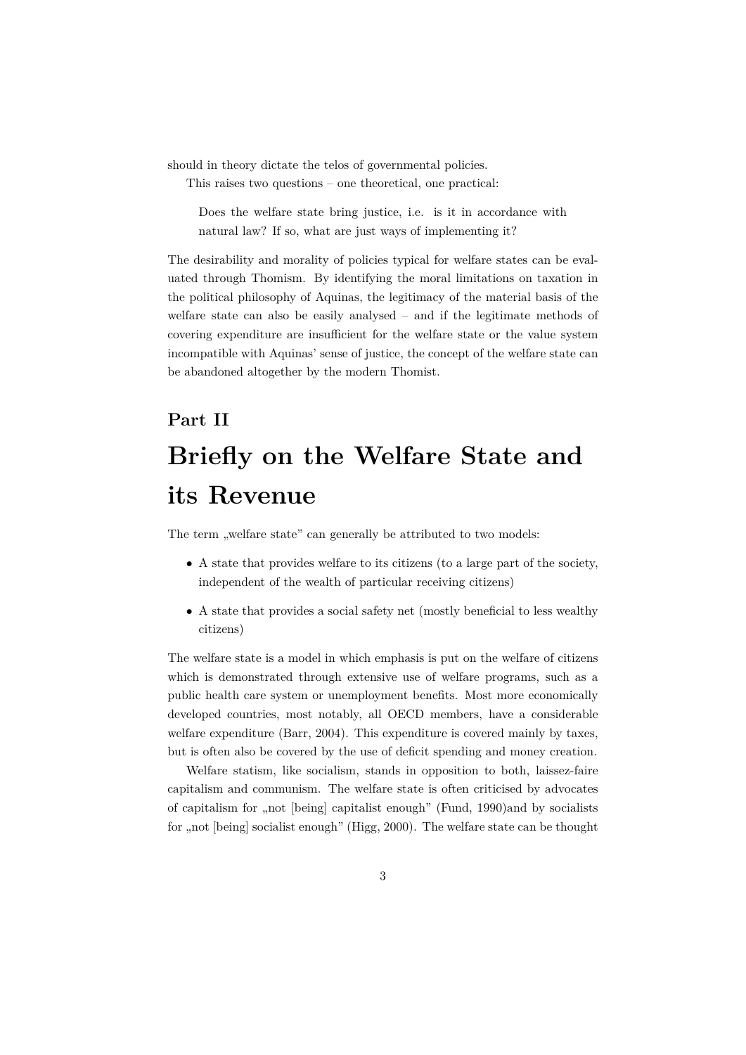should in theory dictate the telos of governmental policies.

This raises two questions – one theoretical, one practical:

Does the welfare state bring justice, i.e. is it in accordance with natural law? If so, what are just ways of implementing it?

The desirability and morality of policies typical for welfare states can be evaluated through Thomism. By identifying the moral limitations on taxation in the political philosophy of Aquinas, the legitimacy of the material basis of the welfare state can also be easily analysed – and if the legitimate methods of covering expenditure are insufficient for the welfare state or the value system incompatible with Aquinas' sense of justice, the concept of the welfare state can be abandoned altogether by the modern Thomist.

# **Part II Briefly on the Welfare State and its Revenue**

The term "welfare state" can generally be attributed to two models:

- A state that provides welfare to its citizens (to a large part of the society, independent of the wealth of particular receiving citizens)
- A state that provides a social safety net (mostly beneficial to less wealthy citizens)

The welfare state is a model in which emphasis is put on the welfare of citizens which is demonstrated through extensive use of welfare programs, such as a public health care system or unemployment benefits. Most more economically developed countries, most notably, all OECD members, have a considerable welfare expenditure (Barr, 2004). This expenditure is covered mainly by taxes, but is often also be covered by the use of deficit spending and money creation.

Welfare statism, like socialism, stands in opposition to both, laissez-faire capitalism and communism. The welfare state is often criticised by advocates of capitalism for "not [being] capitalist enough" (Fund, 1990)and by socialists for , not [being] socialist enough" (Higg, 2000). The welfare state can be thought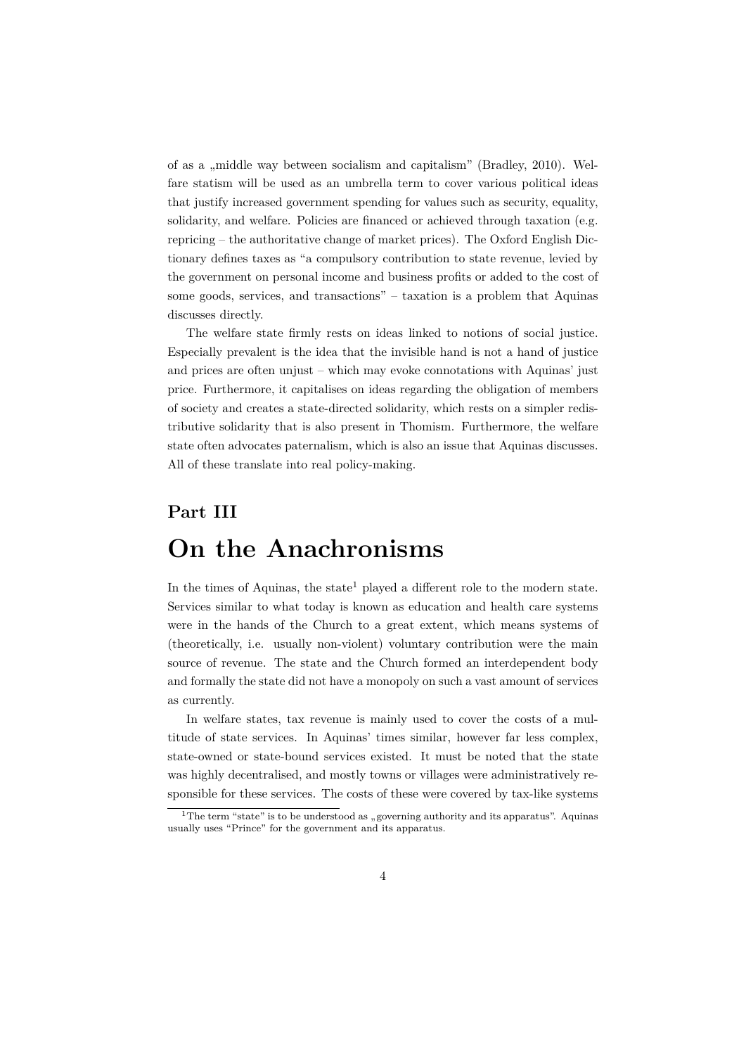of as a ,,middle way between socialism and capitalism" (Bradley, 2010). Welfare statism will be used as an umbrella term to cover various political ideas that justify increased government spending for values such as security, equality, solidarity, and welfare. Policies are financed or achieved through taxation (e.g. repricing – the authoritative change of market prices). The Oxford English Dictionary defines taxes as "a compulsory contribution to state revenue, levied by the government on personal income and business profits or added to the cost of some goods, services, and transactions" – taxation is a problem that Aquinas discusses directly.

The welfare state firmly rests on ideas linked to notions of social justice. Especially prevalent is the idea that the invisible hand is not a hand of justice and prices are often unjust – which may evoke connotations with Aquinas' just price. Furthermore, it capitalises on ideas regarding the obligation of members of society and creates a state-directed solidarity, which rests on a simpler redistributive solidarity that is also present in Thomism. Furthermore, the welfare state often advocates paternalism, which is also an issue that Aquinas discusses. All of these translate into real policy-making.

## **Part III**

# **On the Anachronisms**

In the times of Aquinas, the state<sup>1</sup> played a different role to the modern state. Services similar to what today is known as education and health care systems were in the hands of the Church to a great extent, which means systems of (theoretically, i.e. usually non-violent) voluntary contribution were the main source of revenue. The state and the Church formed an interdependent body and formally the state did not have a monopoly on such a vast amount of services as currently.

In welfare states, tax revenue is mainly used to cover the costs of a multitude of state services. In Aquinas' times similar, however far less complex, state-owned or state-bound services existed. It must be noted that the state was highly decentralised, and mostly towns or villages were administratively responsible for these services. The costs of these were covered by tax-like systems

<sup>&</sup>lt;sup>1</sup>The term "state" is to be understood as "governing authority and its apparatus". Aquinas usually uses "Prince" for the government and its apparatus.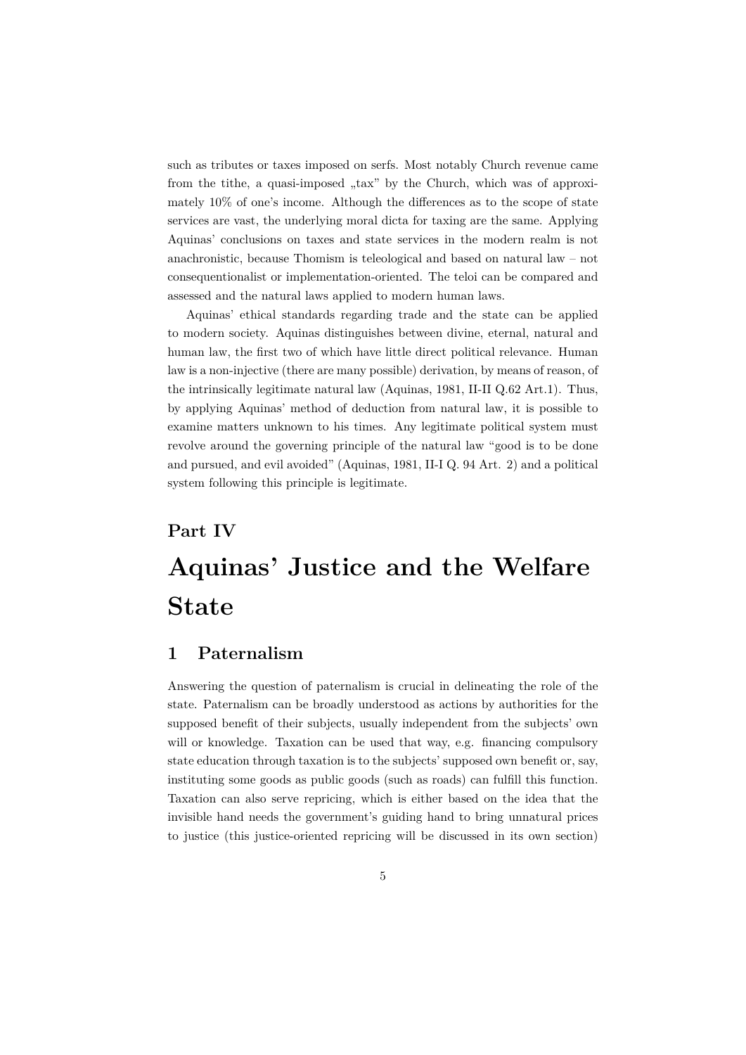such as tributes or taxes imposed on serfs. Most notably Church revenue came from the tithe, a quasi-imposed "tax" by the Church, which was of approximately 10% of one's income. Although the differences as to the scope of state services are vast, the underlying moral dicta for taxing are the same. Applying Aquinas' conclusions on taxes and state services in the modern realm is not anachronistic, because Thomism is teleological and based on natural law – not consequentionalist or implementation-oriented. The teloi can be compared and assessed and the natural laws applied to modern human laws.

Aquinas' ethical standards regarding trade and the state can be applied to modern society. Aquinas distinguishes between divine, eternal, natural and human law, the first two of which have little direct political relevance. Human law is a non-injective (there are many possible) derivation, by means of reason, of the intrinsically legitimate natural law (Aquinas, 1981, II-II Q.62 Art.1). Thus, by applying Aquinas' method of deduction from natural law, it is possible to examine matters unknown to his times. Any legitimate political system must revolve around the governing principle of the natural law "good is to be done and pursued, and evil avoided" (Aquinas, 1981, II-I Q. 94 Art. 2) and a political system following this principle is legitimate.

# **Part IV Aquinas' Justice and the Welfare State**

### **1 Paternalism**

Answering the question of paternalism is crucial in delineating the role of the state. Paternalism can be broadly understood as actions by authorities for the supposed benefit of their subjects, usually independent from the subjects' own will or knowledge. Taxation can be used that way, e.g. financing compulsory state education through taxation is to the subjects' supposed own benefit or, say, instituting some goods as public goods (such as roads) can fulfill this function. Taxation can also serve repricing, which is either based on the idea that the invisible hand needs the government's guiding hand to bring unnatural prices to justice (this justice-oriented repricing will be discussed in its own section)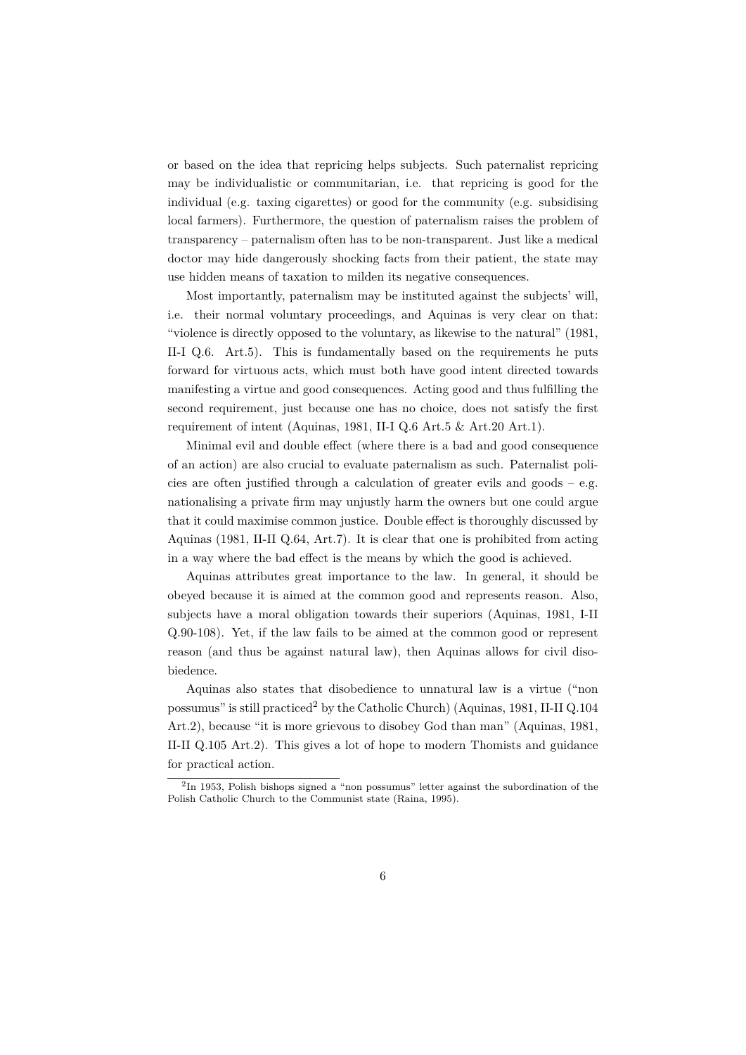or based on the idea that repricing helps subjects. Such paternalist repricing may be individualistic or communitarian, i.e. that repricing is good for the individual (e.g. taxing cigarettes) or good for the community (e.g. subsidising local farmers). Furthermore, the question of paternalism raises the problem of transparency – paternalism often has to be non-transparent. Just like a medical doctor may hide dangerously shocking facts from their patient, the state may use hidden means of taxation to milden its negative consequences.

Most importantly, paternalism may be instituted against the subjects' will, i.e. their normal voluntary proceedings, and Aquinas is very clear on that: "violence is directly opposed to the voluntary, as likewise to the natural" (1981, II-I Q.6. Art.5). This is fundamentally based on the requirements he puts forward for virtuous acts, which must both have good intent directed towards manifesting a virtue and good consequences. Acting good and thus fulfilling the second requirement, just because one has no choice, does not satisfy the first requirement of intent (Aquinas, 1981, II-I Q.6 Art.5 & Art.20 Art.1).

Minimal evil and double effect (where there is a bad and good consequence of an action) are also crucial to evaluate paternalism as such. Paternalist policies are often justified through a calculation of greater evils and goods – e.g. nationalising a private firm may unjustly harm the owners but one could argue that it could maximise common justice. Double effect is thoroughly discussed by Aquinas (1981, II-II Q.64, Art.7). It is clear that one is prohibited from acting in a way where the bad effect is the means by which the good is achieved.

Aquinas attributes great importance to the law. In general, it should be obeyed because it is aimed at the common good and represents reason. Also, subjects have a moral obligation towards their superiors (Aquinas, 1981, I-II Q.90-108). Yet, if the law fails to be aimed at the common good or represent reason (and thus be against natural law), then Aquinas allows for civil disobiedence.

Aquinas also states that disobedience to unnatural law is a virtue ("non possumus" is still practiced<sup>2</sup> by the Catholic Church) (Aquinas,  $1981$ , II-II Q.104 Art.2), because "it is more grievous to disobey God than man" (Aquinas, 1981, II-II Q.105 Art.2). This gives a lot of hope to modern Thomists and guidance for practical action.

<sup>2</sup> In 1953, Polish bishops signed a "non possumus" letter against the subordination of the Polish Catholic Church to the Communist state (Raina, 1995).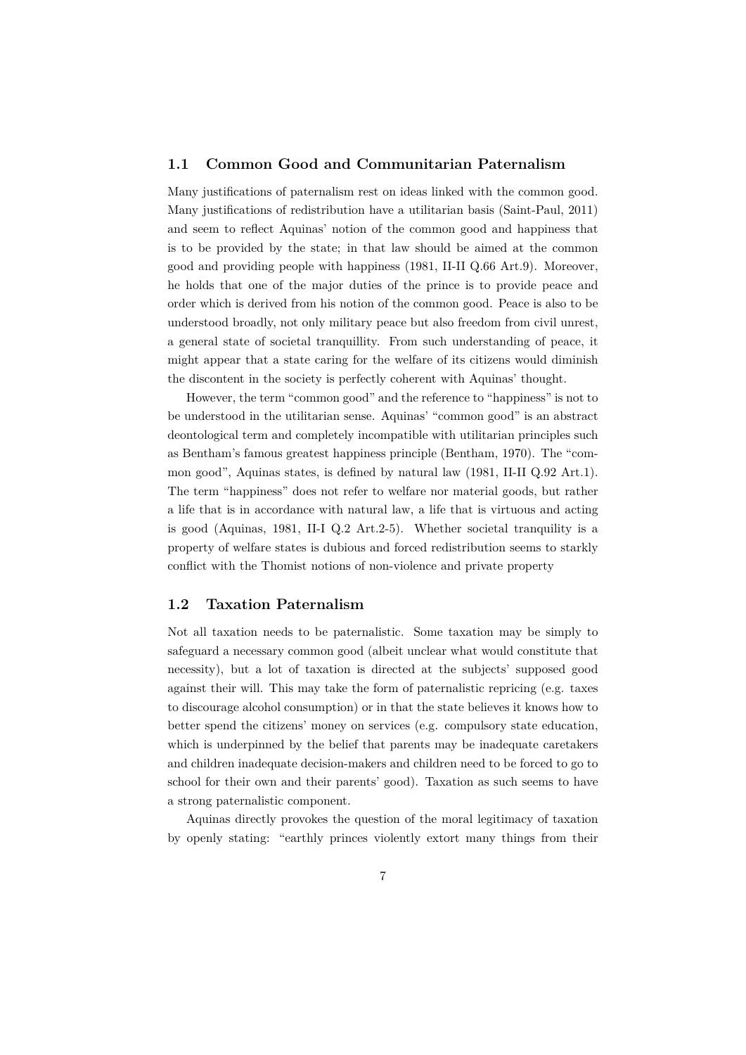#### **1.1 Common Good and Communitarian Paternalism**

Many justifications of paternalism rest on ideas linked with the common good. Many justifications of redistribution have a utilitarian basis (Saint-Paul, 2011) and seem to reflect Aquinas' notion of the common good and happiness that is to be provided by the state; in that law should be aimed at the common good and providing people with happiness (1981, II-II Q.66 Art.9). Moreover, he holds that one of the major duties of the prince is to provide peace and order which is derived from his notion of the common good. Peace is also to be understood broadly, not only military peace but also freedom from civil unrest, a general state of societal tranquillity. From such understanding of peace, it might appear that a state caring for the welfare of its citizens would diminish the discontent in the society is perfectly coherent with Aquinas' thought.

However, the term "common good" and the reference to "happiness" is not to be understood in the utilitarian sense. Aquinas' "common good" is an abstract deontological term and completely incompatible with utilitarian principles such as Bentham's famous greatest happiness principle (Bentham, 1970). The "common good", Aquinas states, is defined by natural law (1981, II-II Q.92 Art.1). The term "happiness" does not refer to welfare nor material goods, but rather a life that is in accordance with natural law, a life that is virtuous and acting is good (Aquinas, 1981, II-I Q.2 Art.2-5). Whether societal tranquility is a property of welfare states is dubious and forced redistribution seems to starkly conflict with the Thomist notions of non-violence and private property

#### **1.2 Taxation Paternalism**

Not all taxation needs to be paternalistic. Some taxation may be simply to safeguard a necessary common good (albeit unclear what would constitute that necessity), but a lot of taxation is directed at the subjects' supposed good against their will. This may take the form of paternalistic repricing (e.g. taxes to discourage alcohol consumption) or in that the state believes it knows how to better spend the citizens' money on services (e.g. compulsory state education, which is underpinned by the belief that parents may be inadequate caretakers and children inadequate decision-makers and children need to be forced to go to school for their own and their parents' good). Taxation as such seems to have a strong paternalistic component.

Aquinas directly provokes the question of the moral legitimacy of taxation by openly stating: "earthly princes violently extort many things from their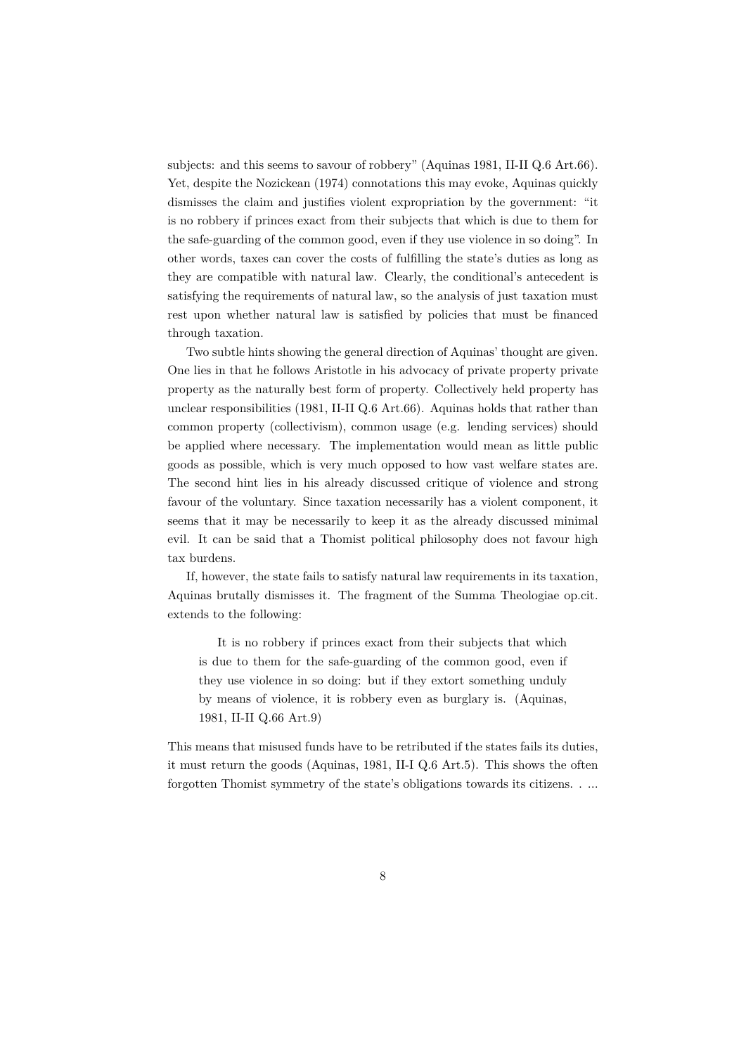subjects: and this seems to savour of robbery" (Aquinas 1981, II-II Q.6 Art.66). Yet, despite the Nozickean (1974) connotations this may evoke, Aquinas quickly dismisses the claim and justifies violent expropriation by the government: "it is no robbery if princes exact from their subjects that which is due to them for the safe-guarding of the common good, even if they use violence in so doing". In other words, taxes can cover the costs of fulfilling the state's duties as long as they are compatible with natural law. Clearly, the conditional's antecedent is satisfying the requirements of natural law, so the analysis of just taxation must rest upon whether natural law is satisfied by policies that must be financed through taxation.

Two subtle hints showing the general direction of Aquinas' thought are given. One lies in that he follows Aristotle in his advocacy of private property private property as the naturally best form of property. Collectively held property has unclear responsibilities (1981, II-II Q.6 Art.66). Aquinas holds that rather than common property (collectivism), common usage (e.g. lending services) should be applied where necessary. The implementation would mean as little public goods as possible, which is very much opposed to how vast welfare states are. The second hint lies in his already discussed critique of violence and strong favour of the voluntary. Since taxation necessarily has a violent component, it seems that it may be necessarily to keep it as the already discussed minimal evil. It can be said that a Thomist political philosophy does not favour high tax burdens.

If, however, the state fails to satisfy natural law requirements in its taxation, Aquinas brutally dismisses it. The fragment of the Summa Theologiae op.cit. extends to the following:

It is no robbery if princes exact from their subjects that which is due to them for the safe-guarding of the common good, even if they use violence in so doing: but if they extort something unduly by means of violence, it is robbery even as burglary is. (Aquinas, 1981, II-II Q.66 Art.9)

This means that misused funds have to be retributed if the states fails its duties, it must return the goods (Aquinas, 1981, II-I Q.6 Art.5). This shows the often forgotten Thomist symmetry of the state's obligations towards its citizens. . ...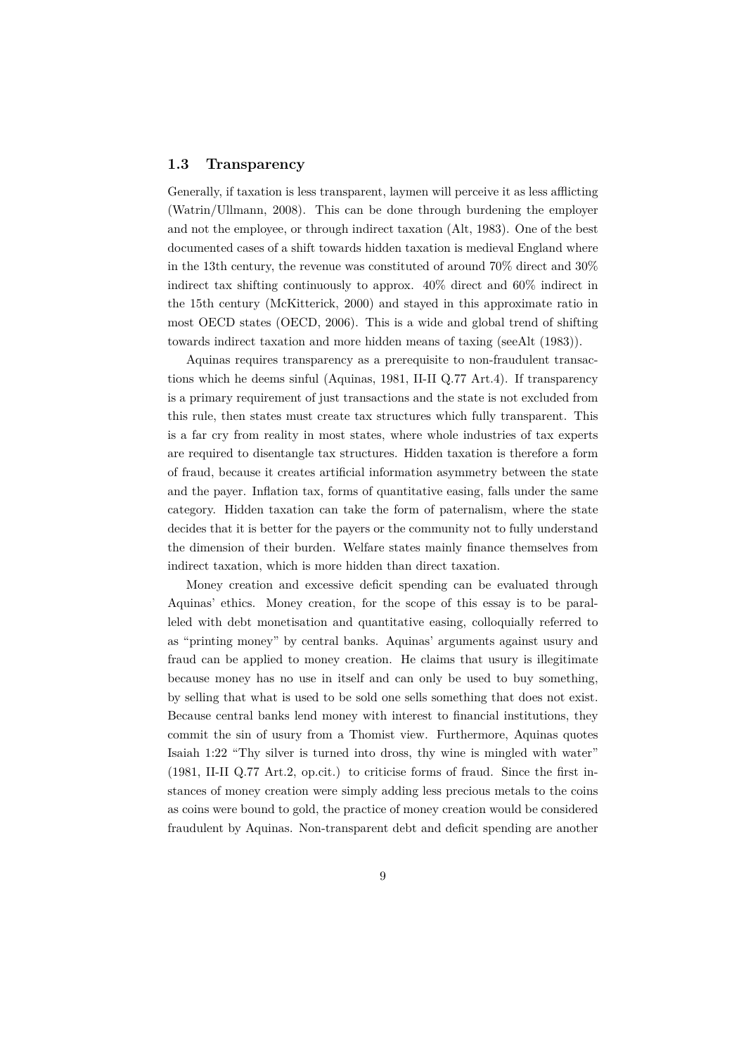#### **1.3 Transparency**

Generally, if taxation is less transparent, laymen will perceive it as less afflicting (Watrin/Ullmann, 2008). This can be done through burdening the employer and not the employee, or through indirect taxation (Alt, 1983). One of the best documented cases of a shift towards hidden taxation is medieval England where in the 13th century, the revenue was constituted of around 70% direct and 30% indirect tax shifting continuously to approx. 40% direct and 60% indirect in the 15th century (McKitterick, 2000) and stayed in this approximate ratio in most OECD states (OECD, 2006). This is a wide and global trend of shifting towards indirect taxation and more hidden means of taxing (seeAlt (1983)).

Aquinas requires transparency as a prerequisite to non-fraudulent transactions which he deems sinful (Aquinas, 1981, II-II Q.77 Art.4). If transparency is a primary requirement of just transactions and the state is not excluded from this rule, then states must create tax structures which fully transparent. This is a far cry from reality in most states, where whole industries of tax experts are required to disentangle tax structures. Hidden taxation is therefore a form of fraud, because it creates artificial information asymmetry between the state and the payer. Inflation tax, forms of quantitative easing, falls under the same category. Hidden taxation can take the form of paternalism, where the state decides that it is better for the payers or the community not to fully understand the dimension of their burden. Welfare states mainly finance themselves from indirect taxation, which is more hidden than direct taxation.

Money creation and excessive deficit spending can be evaluated through Aquinas' ethics. Money creation, for the scope of this essay is to be paralleled with debt monetisation and quantitative easing, colloquially referred to as "printing money" by central banks. Aquinas' arguments against usury and fraud can be applied to money creation. He claims that usury is illegitimate because money has no use in itself and can only be used to buy something, by selling that what is used to be sold one sells something that does not exist. Because central banks lend money with interest to financial institutions, they commit the sin of usury from a Thomist view. Furthermore, Aquinas quotes Isaiah 1:22 "Thy silver is turned into dross, thy wine is mingled with water" (1981, II-II Q.77 Art.2, op.cit.) to criticise forms of fraud. Since the first instances of money creation were simply adding less precious metals to the coins as coins were bound to gold, the practice of money creation would be considered fraudulent by Aquinas. Non-transparent debt and deficit spending are another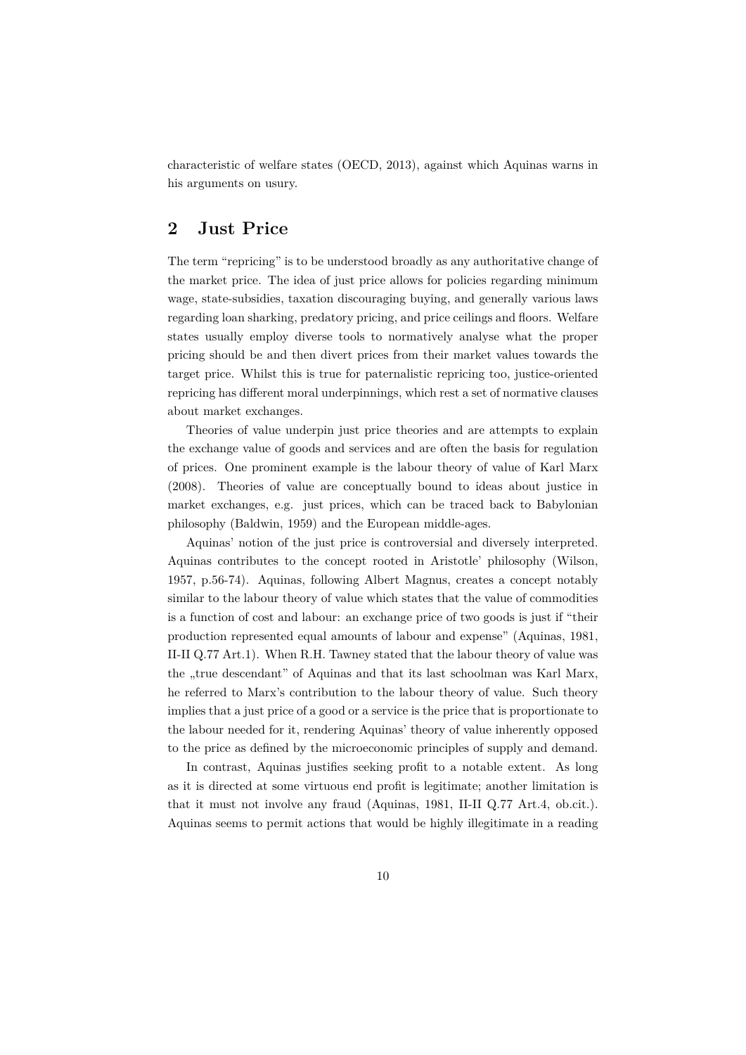characteristic of welfare states (OECD, 2013), against which Aquinas warns in his arguments on usury.

## **2 Just Price**

The term "repricing" is to be understood broadly as any authoritative change of the market price. The idea of just price allows for policies regarding minimum wage, state-subsidies, taxation discouraging buying, and generally various laws regarding loan sharking, predatory pricing, and price ceilings and floors. Welfare states usually employ diverse tools to normatively analyse what the proper pricing should be and then divert prices from their market values towards the target price. Whilst this is true for paternalistic repricing too, justice-oriented repricing has different moral underpinnings, which rest a set of normative clauses about market exchanges.

Theories of value underpin just price theories and are attempts to explain the exchange value of goods and services and are often the basis for regulation of prices. One prominent example is the labour theory of value of Karl Marx (2008). Theories of value are conceptually bound to ideas about justice in market exchanges, e.g. just prices, which can be traced back to Babylonian philosophy (Baldwin, 1959) and the European middle-ages.

Aquinas' notion of the just price is controversial and diversely interpreted. Aquinas contributes to the concept rooted in Aristotle' philosophy (Wilson, 1957, p.56-74). Aquinas, following Albert Magnus, creates a concept notably similar to the labour theory of value which states that the value of commodities is a function of cost and labour: an exchange price of two goods is just if "their production represented equal amounts of labour and expense" (Aquinas, 1981, II-II Q.77 Art.1). When R.H. Tawney stated that the labour theory of value was the "true descendant" of Aquinas and that its last schoolman was Karl Marx, he referred to Marx's contribution to the labour theory of value. Such theory implies that a just price of a good or a service is the price that is proportionate to the labour needed for it, rendering Aquinas' theory of value inherently opposed to the price as defined by the microeconomic principles of supply and demand.

In contrast, Aquinas justifies seeking profit to a notable extent. As long as it is directed at some virtuous end profit is legitimate; another limitation is that it must not involve any fraud (Aquinas, 1981, II-II Q.77 Art.4, ob.cit.). Aquinas seems to permit actions that would be highly illegitimate in a reading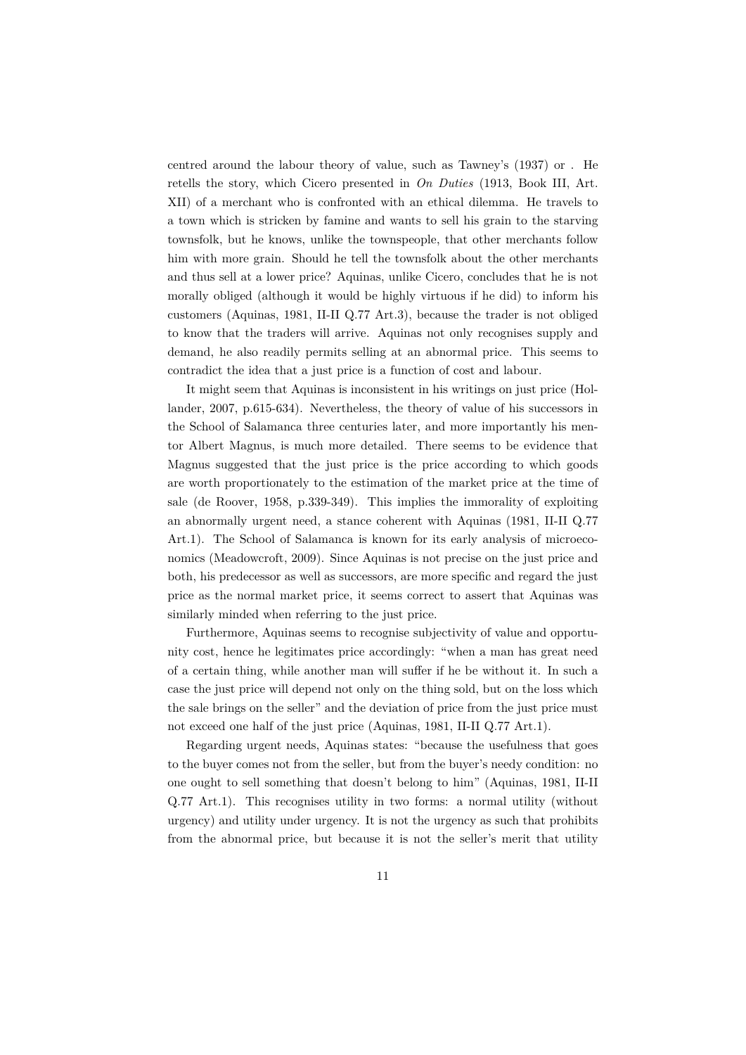centred around the labour theory of value, such as Tawney's (1937) or . He retells the story, which Cicero presented in *On Duties* (1913, Book III, Art. XII) of a merchant who is confronted with an ethical dilemma. He travels to a town which is stricken by famine and wants to sell his grain to the starving townsfolk, but he knows, unlike the townspeople, that other merchants follow him with more grain. Should he tell the townsfolk about the other merchants and thus sell at a lower price? Aquinas, unlike Cicero, concludes that he is not morally obliged (although it would be highly virtuous if he did) to inform his customers (Aquinas, 1981, II-II Q.77 Art.3), because the trader is not obliged to know that the traders will arrive. Aquinas not only recognises supply and demand, he also readily permits selling at an abnormal price. This seems to contradict the idea that a just price is a function of cost and labour.

It might seem that Aquinas is inconsistent in his writings on just price (Hollander, 2007, p.615-634). Nevertheless, the theory of value of his successors in the School of Salamanca three centuries later, and more importantly his mentor Albert Magnus, is much more detailed. There seems to be evidence that Magnus suggested that the just price is the price according to which goods are worth proportionately to the estimation of the market price at the time of sale (de Roover, 1958, p.339-349). This implies the immorality of exploiting an abnormally urgent need, a stance coherent with Aquinas (1981, II-II Q.77 Art.1). The School of Salamanca is known for its early analysis of microeconomics (Meadowcroft, 2009). Since Aquinas is not precise on the just price and both, his predecessor as well as successors, are more specific and regard the just price as the normal market price, it seems correct to assert that Aquinas was similarly minded when referring to the just price.

Furthermore, Aquinas seems to recognise subjectivity of value and opportunity cost, hence he legitimates price accordingly: "when a man has great need of a certain thing, while another man will suffer if he be without it. In such a case the just price will depend not only on the thing sold, but on the loss which the sale brings on the seller" and the deviation of price from the just price must not exceed one half of the just price (Aquinas, 1981, II-II Q.77 Art.1).

Regarding urgent needs, Aquinas states: "because the usefulness that goes to the buyer comes not from the seller, but from the buyer's needy condition: no one ought to sell something that doesn't belong to him" (Aquinas, 1981, II-II Q.77 Art.1). This recognises utility in two forms: a normal utility (without urgency) and utility under urgency. It is not the urgency as such that prohibits from the abnormal price, but because it is not the seller's merit that utility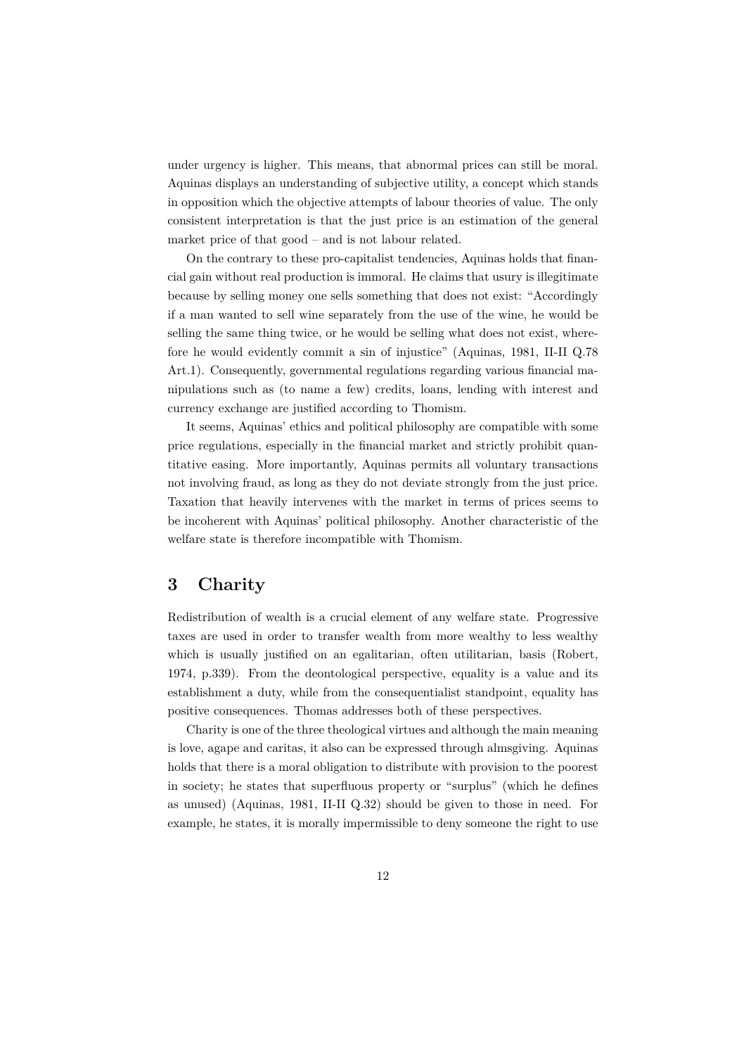under urgency is higher. This means, that abnormal prices can still be moral. Aquinas displays an understanding of subjective utility, a concept which stands in opposition which the objective attempts of labour theories of value. The only consistent interpretation is that the just price is an estimation of the general market price of that good – and is not labour related.

On the contrary to these pro-capitalist tendencies, Aquinas holds that financial gain without real production is immoral. He claims that usury is illegitimate because by selling money one sells something that does not exist: "Accordingly if a man wanted to sell wine separately from the use of the wine, he would be selling the same thing twice, or he would be selling what does not exist, wherefore he would evidently commit a sin of injustice" (Aquinas, 1981, II-II Q.78 Art.1). Consequently, governmental regulations regarding various financial manipulations such as (to name a few) credits, loans, lending with interest and currency exchange are justified according to Thomism.

It seems, Aquinas' ethics and political philosophy are compatible with some price regulations, especially in the financial market and strictly prohibit quantitative easing. More importantly, Aquinas permits all voluntary transactions not involving fraud, as long as they do not deviate strongly from the just price. Taxation that heavily intervenes with the market in terms of prices seems to be incoherent with Aquinas' political philosophy. Another characteristic of the welfare state is therefore incompatible with Thomism.

### **3 Charity**

Redistribution of wealth is a crucial element of any welfare state. Progressive taxes are used in order to transfer wealth from more wealthy to less wealthy which is usually justified on an egalitarian, often utilitarian, basis (Robert, 1974, p.339). From the deontological perspective, equality is a value and its establishment a duty, while from the consequentialist standpoint, equality has positive consequences. Thomas addresses both of these perspectives.

Charity is one of the three theological virtues and although the main meaning is love, agape and caritas, it also can be expressed through almsgiving. Aquinas holds that there is a moral obligation to distribute with provision to the poorest in society; he states that superfluous property or "surplus" (which he defines as unused) (Aquinas, 1981, II-II Q.32) should be given to those in need. For example, he states, it is morally impermissible to deny someone the right to use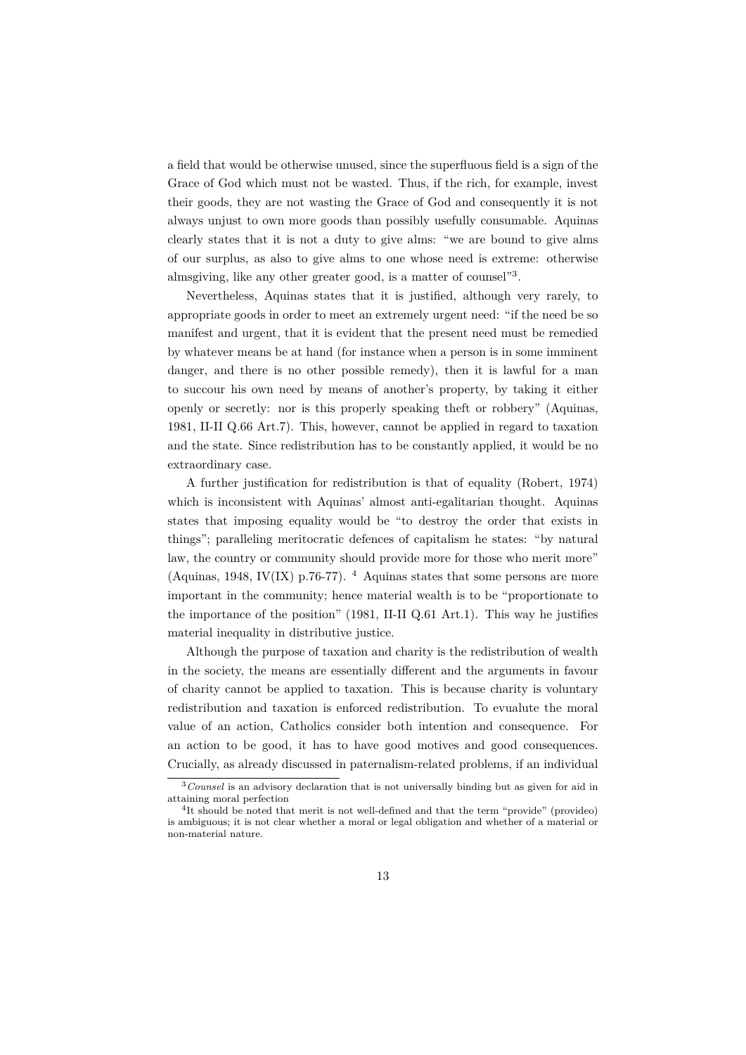a field that would be otherwise unused, since the superfluous field is a sign of the Grace of God which must not be wasted. Thus, if the rich, for example, invest their goods, they are not wasting the Grace of God and consequently it is not always unjust to own more goods than possibly usefully consumable. Aquinas clearly states that it is not a duty to give alms: "we are bound to give alms of our surplus, as also to give alms to one whose need is extreme: otherwise almsgiving, like any other greater good, is a matter of counsel"<sup>3</sup>.

Nevertheless, Aquinas states that it is justified, although very rarely, to appropriate goods in order to meet an extremely urgent need: "if the need be so manifest and urgent, that it is evident that the present need must be remedied by whatever means be at hand (for instance when a person is in some imminent danger, and there is no other possible remedy), then it is lawful for a man to succour his own need by means of another's property, by taking it either openly or secretly: nor is this properly speaking theft or robbery" (Aquinas, 1981, II-II Q.66 Art.7). This, however, cannot be applied in regard to taxation and the state. Since redistribution has to be constantly applied, it would be no extraordinary case.

A further justification for redistribution is that of equality (Robert, 1974) which is inconsistent with Aquinas' almost anti-egalitarian thought. Aquinas states that imposing equality would be "to destroy the order that exists in things"; paralleling meritocratic defences of capitalism he states: "by natural law, the country or community should provide more for those who merit more" (Aquinas, 1948, IV(IX) p.76-77).  $4$  Aquinas states that some persons are more important in the community; hence material wealth is to be "proportionate to the importance of the position" (1981, II-II Q.61 Art.1). This way he justifies material inequality in distributive justice.

Although the purpose of taxation and charity is the redistribution of wealth in the society, the means are essentially different and the arguments in favour of charity cannot be applied to taxation. This is because charity is voluntary redistribution and taxation is enforced redistribution. To evualute the moral value of an action, Catholics consider both intention and consequence. For an action to be good, it has to have good motives and good consequences. Crucially, as already discussed in paternalism-related problems, if an individual

<sup>3</sup>*Counsel* is an advisory declaration that is not universally binding but as given for aid in attaining moral perfection

<sup>&</sup>lt;sup>4</sup>It should be noted that merit is not well-defined and that the term "provide" (provideo) is ambiguous; it is not clear whether a moral or legal obligation and whether of a material or non-material nature.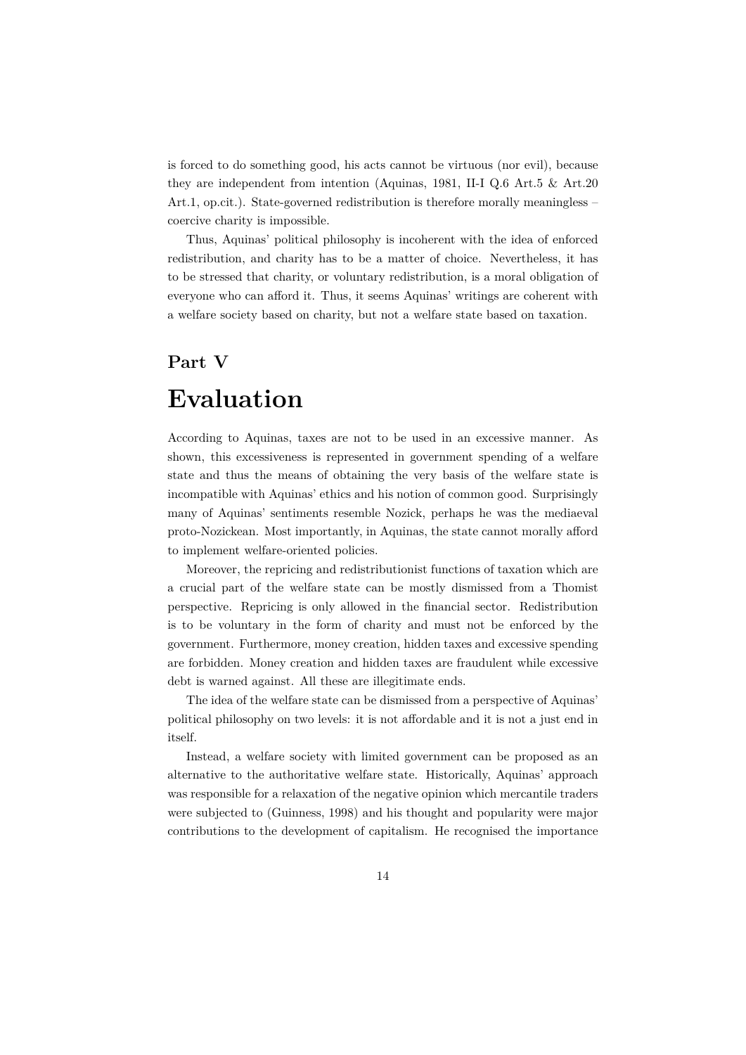is forced to do something good, his acts cannot be virtuous (nor evil), because they are independent from intention (Aquinas, 1981, II-I Q.6 Art.5 & Art.20 Art.1, op.cit.). State-governed redistribution is therefore morally meaningless – coercive charity is impossible.

Thus, Aquinas' political philosophy is incoherent with the idea of enforced redistribution, and charity has to be a matter of choice. Nevertheless, it has to be stressed that charity, or voluntary redistribution, is a moral obligation of everyone who can afford it. Thus, it seems Aquinas' writings are coherent with a welfare society based on charity, but not a welfare state based on taxation.

## **Part V**

# **Evaluation**

According to Aquinas, taxes are not to be used in an excessive manner. As shown, this excessiveness is represented in government spending of a welfare state and thus the means of obtaining the very basis of the welfare state is incompatible with Aquinas' ethics and his notion of common good. Surprisingly many of Aquinas' sentiments resemble Nozick, perhaps he was the mediaeval proto-Nozickean. Most importantly, in Aquinas, the state cannot morally afford to implement welfare-oriented policies.

Moreover, the repricing and redistributionist functions of taxation which are a crucial part of the welfare state can be mostly dismissed from a Thomist perspective. Repricing is only allowed in the financial sector. Redistribution is to be voluntary in the form of charity and must not be enforced by the government. Furthermore, money creation, hidden taxes and excessive spending are forbidden. Money creation and hidden taxes are fraudulent while excessive debt is warned against. All these are illegitimate ends.

The idea of the welfare state can be dismissed from a perspective of Aquinas' political philosophy on two levels: it is not affordable and it is not a just end in itself.

Instead, a welfare society with limited government can be proposed as an alternative to the authoritative welfare state. Historically, Aquinas' approach was responsible for a relaxation of the negative opinion which mercantile traders were subjected to (Guinness, 1998) and his thought and popularity were major contributions to the development of capitalism. He recognised the importance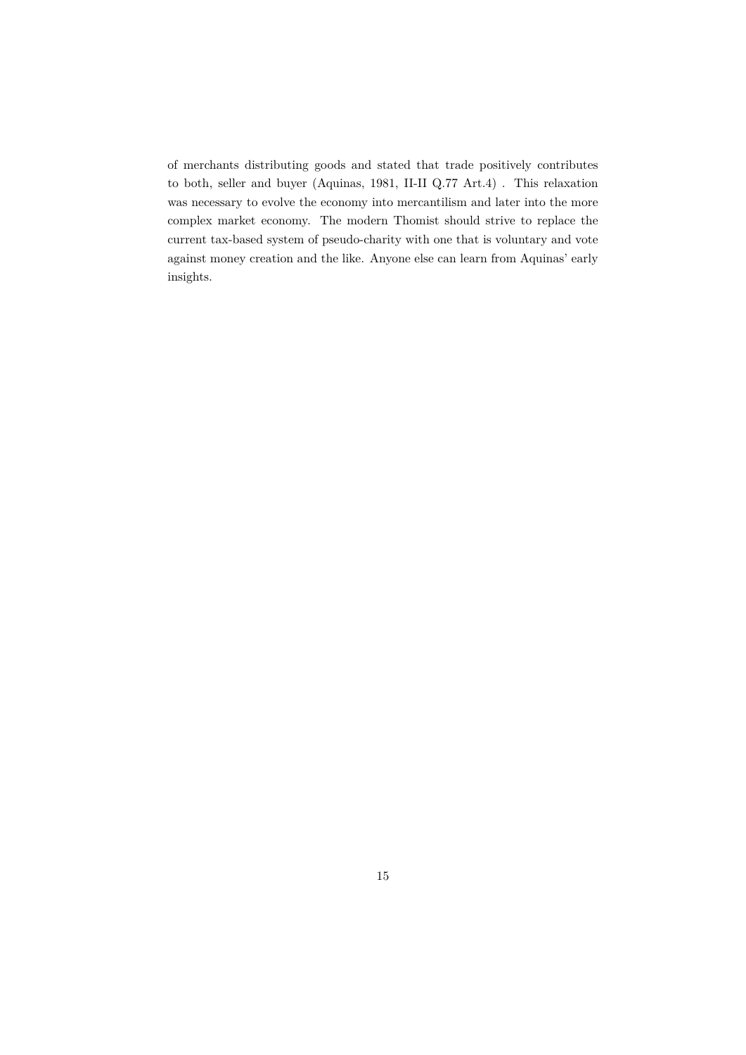of merchants distributing goods and stated that trade positively contributes to both, seller and buyer (Aquinas, 1981, II-II Q.77 Art.4) . This relaxation was necessary to evolve the economy into mercantilism and later into the more complex market economy. The modern Thomist should strive to replace the current tax-based system of pseudo-charity with one that is voluntary and vote against money creation and the like. Anyone else can learn from Aquinas' early insights.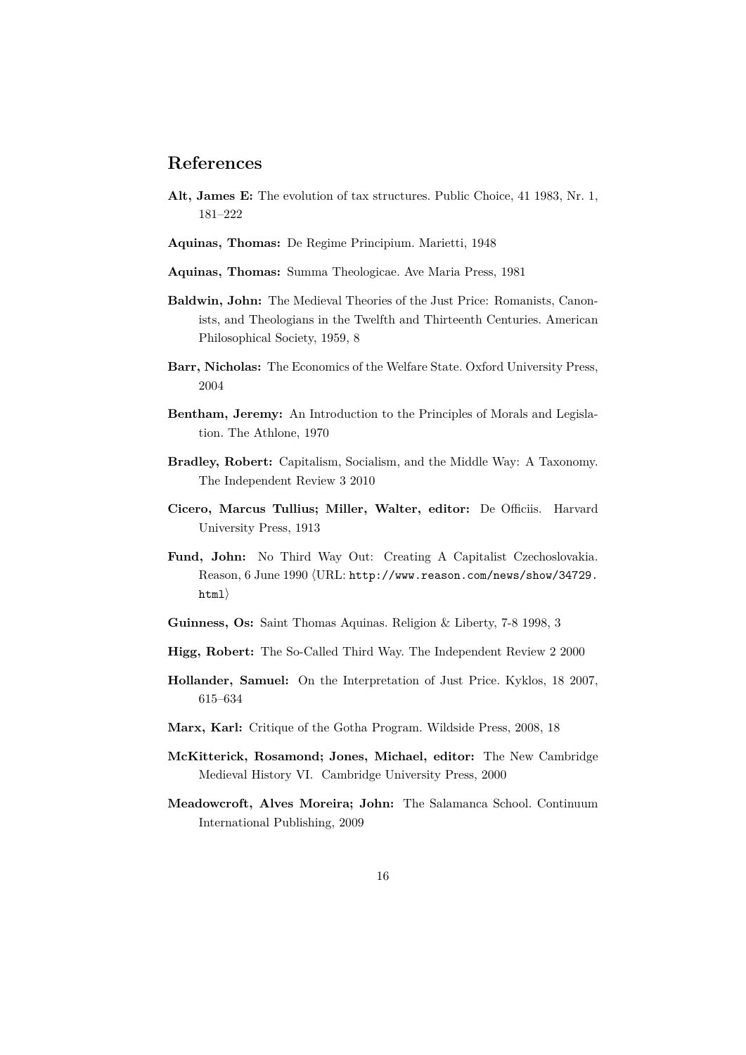### **References**

- **Alt, James E:** The evolution of tax structures. Public Choice, 41 1983, Nr. 1, 181–222
- **Aquinas, Thomas:** De Regime Principium. Marietti, 1948
- **Aquinas, Thomas:** Summa Theologicae. Ave Maria Press, 1981
- **Baldwin, John:** The Medieval Theories of the Just Price: Romanists, Canonists, and Theologians in the Twelfth and Thirteenth Centuries. American Philosophical Society, 1959, 8
- **Barr, Nicholas:** The Economics of the Welfare State. Oxford University Press, 2004
- **Bentham, Jeremy:** An Introduction to the Principles of Morals and Legislation. The Athlone, 1970
- **Bradley, Robert:** Capitalism, Socialism, and the Middle Way: A Taxonomy. The Independent Review 3 2010
- **Cicero, Marcus Tullius; Miller, Walter, editor:** De Officiis. Harvard University Press, 1913
- Fund, John: No Third Way Out: Creating A Capitalist Czechoslovakia. Reason, 6 June 1990 (URL: http://www.reason.com/news/show/34729.  $\text{html}$
- **Guinness, Os:** Saint Thomas Aquinas. Religion & Liberty, 7-8 1998, 3
- **Higg, Robert:** The So-Called Third Way. The Independent Review 2 2000
- **Hollander, Samuel:** On the Interpretation of Just Price. Kyklos, 18 2007, 615–634
- **Marx, Karl:** Critique of the Gotha Program. Wildside Press, 2008, 18
- **McKitterick, Rosamond; Jones, Michael, editor:** The New Cambridge Medieval History VI. Cambridge University Press, 2000
- **Meadowcroft, Alves Moreira; John:** The Salamanca School. Continuum International Publishing, 2009